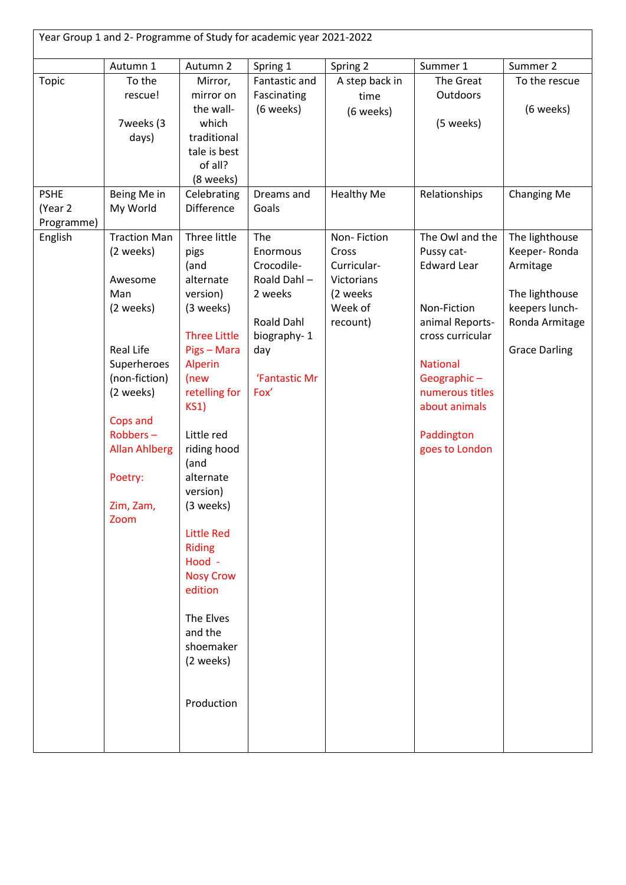| Year Group 1 and 2- Programme of Study for academic year 2021-2022 |                                                                                                                                                                                                           |                                                                                                                                                                                                                                                                                                                                                                                       |                                                                                                                      |                                                                                      |                                                                                                                                                                                                                 |                                                                                                                          |  |
|--------------------------------------------------------------------|-----------------------------------------------------------------------------------------------------------------------------------------------------------------------------------------------------------|---------------------------------------------------------------------------------------------------------------------------------------------------------------------------------------------------------------------------------------------------------------------------------------------------------------------------------------------------------------------------------------|----------------------------------------------------------------------------------------------------------------------|--------------------------------------------------------------------------------------|-----------------------------------------------------------------------------------------------------------------------------------------------------------------------------------------------------------------|--------------------------------------------------------------------------------------------------------------------------|--|
|                                                                    | Autumn 1                                                                                                                                                                                                  | Autumn 2                                                                                                                                                                                                                                                                                                                                                                              | Spring 1                                                                                                             | Spring 2                                                                             | Summer 1                                                                                                                                                                                                        | Summer 2                                                                                                                 |  |
| Topic                                                              | To the<br>rescue!<br>7weeks (3<br>days)                                                                                                                                                                   | Mirror,<br>mirror on<br>the wall-<br>which<br>traditional<br>tale is best<br>of all?<br>(8 weeks)                                                                                                                                                                                                                                                                                     | Fantastic and<br>Fascinating<br>(6 weeks)                                                                            | A step back in<br>time<br>(6 weeks)                                                  | The Great<br><b>Outdoors</b><br>(5 weeks)                                                                                                                                                                       | To the rescue<br>(6 weeks)                                                                                               |  |
| <b>PSHE</b><br>(Year 2<br>Programme)                               | Being Me in<br>My World                                                                                                                                                                                   | Celebrating<br><b>Difference</b>                                                                                                                                                                                                                                                                                                                                                      | Dreams and<br>Goals                                                                                                  | <b>Healthy Me</b>                                                                    | Relationships                                                                                                                                                                                                   | Changing Me                                                                                                              |  |
| English                                                            | <b>Traction Man</b><br>(2 weeks)<br>Awesome<br>Man<br>(2 weeks)<br>Real Life<br>Superheroes<br>(non-fiction)<br>(2 weeks)<br>Cops and<br>Robbers-<br><b>Allan Ahlberg</b><br>Poetry:<br>Zim, Zam,<br>Zoom | Three little<br>pigs<br>(and<br>alternate<br>version)<br>(3 weeks)<br><b>Three Little</b><br>Pigs - Mara<br>Alperin<br>(new<br>retelling for<br><b>KS1)</b><br>Little red<br>riding hood<br>(and<br>alternate<br>version)<br>(3 weeks)<br><b>Little Red</b><br><b>Riding</b><br>Hood -<br><b>Nosy Crow</b><br>edition<br>The Elves<br>and the<br>shoemaker<br>(2 weeks)<br>Production | The<br>Enormous<br>Crocodile-<br>Roald Dahl-<br>2 weeks<br>Roald Dahl<br>biography-1<br>day<br>'Fantastic Mr<br>Fox' | Non-Fiction<br>Cross<br>Curricular-<br>Victorians<br>(2 weeks<br>Week of<br>recount) | The Owl and the<br>Pussy cat-<br><b>Edward Lear</b><br>Non-Fiction<br>animal Reports-<br>cross curricular<br><b>National</b><br>Geographic-<br>numerous titles<br>about animals<br>Paddington<br>goes to London | The lighthouse<br>Keeper-Ronda<br>Armitage<br>The lighthouse<br>keepers lunch-<br>Ronda Armitage<br><b>Grace Darling</b> |  |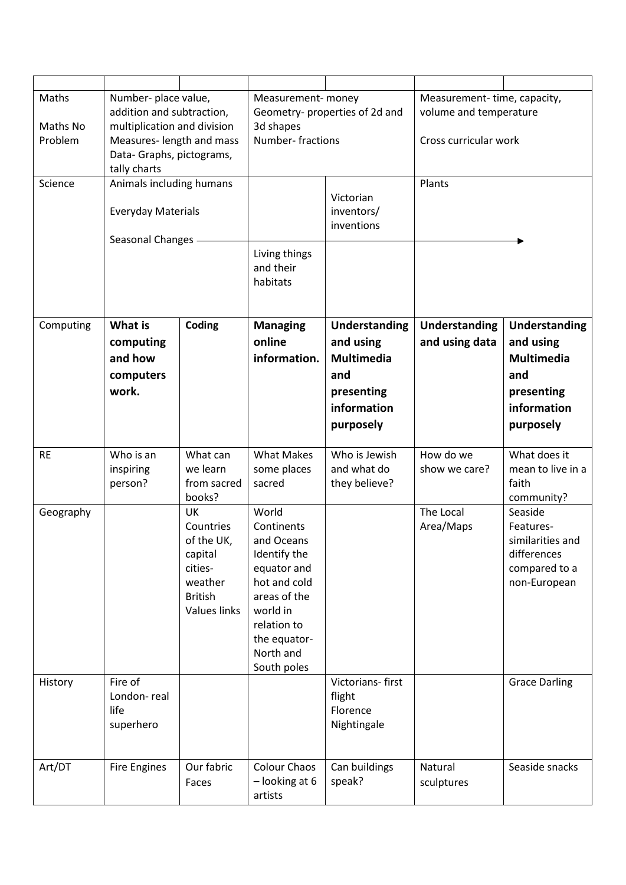| Maths<br>Maths No<br>Problem | Number- place value,<br>addition and subtraction,<br>multiplication and division<br>Measures-length and mass<br>Data- Graphs, pictograms,<br>tally charts |                                                                                                         | Measurement- money<br>Geometry- properties of 2d and<br>3d shapes<br>Number-fractions                                                                                   |                                                                    | Measurement-time, capacity,<br>volume and temperature<br>Cross curricular work |                                                                                          |
|------------------------------|-----------------------------------------------------------------------------------------------------------------------------------------------------------|---------------------------------------------------------------------------------------------------------|-------------------------------------------------------------------------------------------------------------------------------------------------------------------------|--------------------------------------------------------------------|--------------------------------------------------------------------------------|------------------------------------------------------------------------------------------|
| Science                      | Animals including humans<br><b>Everyday Materials</b><br>Seasonal Changes                                                                                 |                                                                                                         | Living things<br>and their<br>habitats                                                                                                                                  | Victorian<br>inventors/<br>inventions                              | Plants                                                                         |                                                                                          |
| Computing                    | What is<br>computing                                                                                                                                      | Coding                                                                                                  | <b>Managing</b><br>online                                                                                                                                               | <b>Understanding</b><br>and using                                  | Understanding<br>and using data                                                | <b>Understanding</b><br>and using                                                        |
|                              | and how<br>computers<br>work.                                                                                                                             |                                                                                                         | information.                                                                                                                                                            | <b>Multimedia</b><br>and<br>presenting<br>information<br>purposely |                                                                                | <b>Multimedia</b><br>and<br>presenting<br>information<br>purposely                       |
| <b>RE</b>                    | Who is an<br>inspiring<br>person?                                                                                                                         | What can<br>we learn<br>from sacred<br>books?                                                           | <b>What Makes</b><br>some places<br>sacred                                                                                                                              | Who is Jewish<br>and what do<br>they believe?                      | How do we<br>show we care?                                                     | What does it<br>mean to live in a<br>faith<br>community?                                 |
| Geography                    |                                                                                                                                                           | <b>UK</b><br>Countries<br>of the UK,<br>capital<br>cities-<br>weather<br><b>British</b><br>Values links | World<br>Continents<br>and Oceans<br>Identify the<br>equator and<br>hot and cold<br>areas of the<br>world in<br>relation to<br>the equator-<br>North and<br>South poles |                                                                    | The Local<br>Area/Maps                                                         | Seaside<br>Features-<br>similarities and<br>differences<br>compared to a<br>non-European |
| History                      | Fire of<br>London-real<br>life<br>superhero                                                                                                               |                                                                                                         |                                                                                                                                                                         | Victorians-first<br>flight<br>Florence<br>Nightingale              |                                                                                | <b>Grace Darling</b>                                                                     |
| Art/DT                       | Fire Engines                                                                                                                                              | Our fabric<br>Faces                                                                                     | Colour Chaos<br>- looking at 6<br>artists                                                                                                                               | Can buildings<br>speak?                                            | Natural<br>sculptures                                                          | Seaside snacks                                                                           |